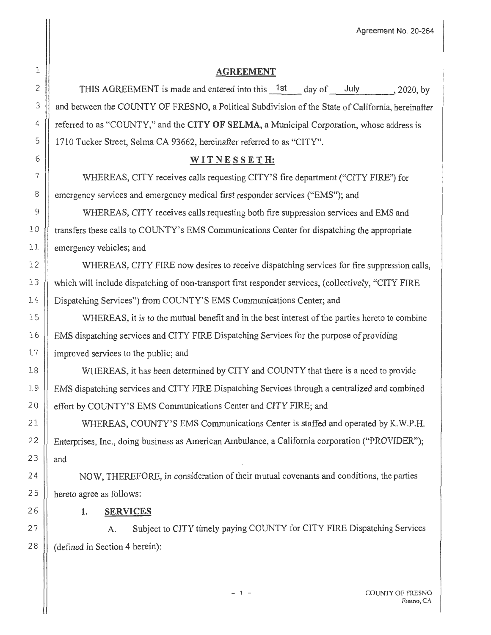Agreement No. 20-264

# 1 2 25 26 27 28

# **AGREEMENT**

THIS AGREEMENT is made and entered into this  $1st$  day of July . 2020, by 3 | and between the COUNTY OF FRESNO, a Political Subdivision of the State of California, hereinafter 4 referred to as "COUNTY," and the **CITY OF SELMA,** a Municipal Corporation, whose address is 5 1710 Tucker Street, Selma CA 93662, hereinafter referred to as "CITY".

# 6 **WI T NE S S E T H:**

7 WHEREAS, CITY receives calls requesting CITY'S fire department ("CITY FIRE") for 8 emergency services and emergency medical first responder services ("EMS"); and

9 WHEREAS, CITY receives calls requesting both fire suppression services and EMS and 10 transfers these calls to COUNTY's EMS Communications Center for dispatching the appropriate 11 | emergency vehicles; and

12 WHEREAS, CITY FIRE now desires to receive dispatching services for fire suppression calls, 13 Which will include dispatching of non-transport first responder services, (collectively, "CITY FIRE 14 | Dispatching Services") from COUNTY'S EMS Communications Center; and

15 WHEREAS, it is to the mutual benefit and in the best interest of the parties hereto to combine 16 | EMS dispatching services and CITY FIRE Dispatching Services for the purpose of providing 17 | improved services to the public; and

18 WHEREAS, it has been determined by CITY and COUNTY that there is a need to provide 19 EMS dispatching services and CITY FIRE Dispatching Services through a centralized and combined 20 | effort by COUNTY'S EMS Communications Center and CITY FIRE; and

21 WHEREAS, COUNTY'S EMS Communications Center is staffed and operated by K.W.P.H. 2 2 Enterprises, Inc., doing business as American Ambulance, a California corporation ("PROVIDER"); 23  $\parallel$  and

24 NOW, THEREFORE, in consideration of their mutual covenants and conditions, the parties hereto agree as follows:

### **1. SERVICES**

A. Subject to CITY timely paying COUNTY for CITY FIRE Dispatching Services (defined in Section 4 herein):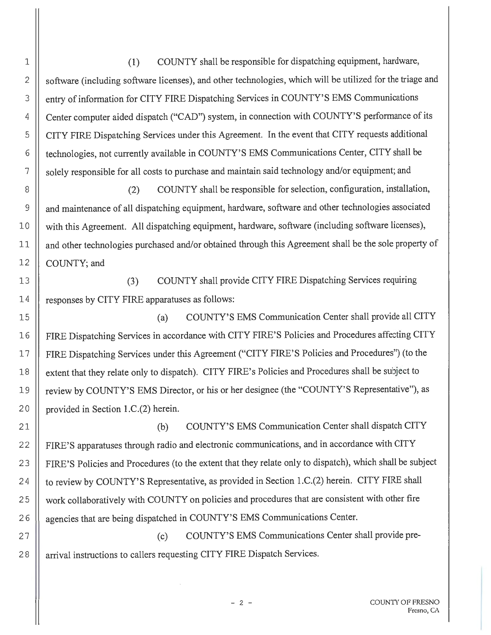(1) COUNTY shall be responsible for dispatching equipment, hardware, software (including software licenses), and other technologies, which will be utilized for the triage and entry of information for CITY FIRE Dispatching Services in COUNTY'S EMS Communications Center computer aided dispatch ("CAD") system, in connection with COUNTY'S performance of its CITY FIRE Dispatching Services under this Agreement. In the event that CITY requests additional technologies, not currently available in COUNTY'S EMS Communications Center, CITY shall be solely responsible for all costs to purchase and maintain said technology and/or equipment; and

1

2

3

4

5

6

7

8

9

10

11

12

13

14

15

(2) COUNTY shall be responsible for selection, configuration, installation, and maintenance of all dispatching equipment, hardware, software and other technologies associated with this Agreement. All dispatching equipment, hardware, software (including software licenses), and other technologies purchased and/or obtained through this Agreement shall be the sole property of COUNTY;and

(3) COUNTY shall provide CITY FIRE Dispatching Services requiring responses by CITY FIRE apparatuses as follows:

(a) COUNTY'S EMS Communication Center shall provide all CITY 16 FIRE Dispatching Services in accordance with CITY FIRE'S Policies and Procedures affecting CITY 1 7 FIRE Dispatching Services under this Agreement ("CITY FIRE'S Policies and Procedures") (to the 18 | extent that they relate only to dispatch). CITY FIRE's Policies and Procedures shall be subject to 19 | review by COUNTY'S EMS Director, or his or her designee (the "COUNTY'S Representative"), as 20 | provided in Section 1.C.(2) herein.

21 22 23 24 25 26 (b) COUNTY'S EMS Communication Center shall dispatch CITY FIRE'S apparatuses through radio and electronic communications, and in accordance with CITY FIRE'S Policies and Procedures (to the extent that they relate only to dispatch), which shall be subject to review by COUNTY'S Representative, as provided in Section l .C.(2) herein. CITY FIRE shall work collaboratively with COUNTY on policies and procedures that are consistent with other fire agencies that are being dispatched in COUNTY'S EMS Communications Center.

27 28 (c) COUNTY'S EMS Communications Center shall provide prearrival instructions to callers requesting CITY FIRE Dispatch Services.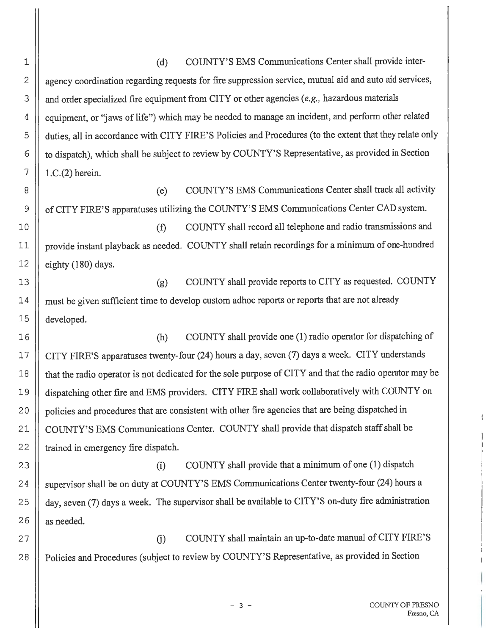1 (d) COUNTY'S EMS Communications Center shall provide inter-2 | agency coordination regarding requests for fire suppression service, mutual aid and auto aid services, 3 | and order specialized fire equipment from CITY or other agencies (e.g., hazardous materials 4 | equipment, or "jaws of life") which may be needed to manage an incident, and perform other related 5 duties, all in accordance with CITY FIRE'S Policies and Procedures (to the extent that they relate only 6 | to dispatch), which shall be subject to review by COUNTY'S Representative, as provided in Section  $7 || 1.C.(2)$  herein.

8 (e) COUNTY'S EMS Communications Center shall track all activity 9 | of CITY FIRE'S apparatuses utilizing the COUNTY'S EMS Communications Center CAD system.

10 || (f) COUNTY shall record all telephone and radio transmissions and 11 | provide instant playback as needed. COUNTY shall retain recordings for a minimum of one-hundred  $12$  | eighty (180) days.

13 ||<br>
(g) COUNTY shall provide reports to CITY as requested. COUNTY 14 | must be given sufficient time to develop custom adhoc reports or reports that are not already 15 developed.

16 (h) COUNTY shall provide one (1) radio operator for dispatching of 17 | CITY FIRE'S apparatuses twenty-four (24) hours a day, seven (7) days a week. CITY understands 18 that the radio operator is not dedicated for the sole purpose of CITY and that the radio operator may be 19 | dispatching other fire and EMS providers. CITY FIRE shall work collaboratively with COUNTY on 20 | policies and procedures that are consistent with other fire agencies that are being dispatched in 21 | COUNTY'S EMS Communications Center. COUNTY shall provide that dispatch staff shall be 22 | trained in emergency fire dispatch.

23 (i) COUNTY shall provide that a minimum of one (1) dispatch 24 | supervisor shall be on duty at COUNTY'S EMS Communications Center twenty-four (24) hours a 25 | day, seven (7) days a week. The supervisor shall be available to CITY'S on-duty fire administration  $26$  || as needed.

27 28 G) COUNTY shall maintain an up-to-date manual of CITY FIRE'S Policies and Procedures (subject to review by COUNTY'S Representative, as provided in Section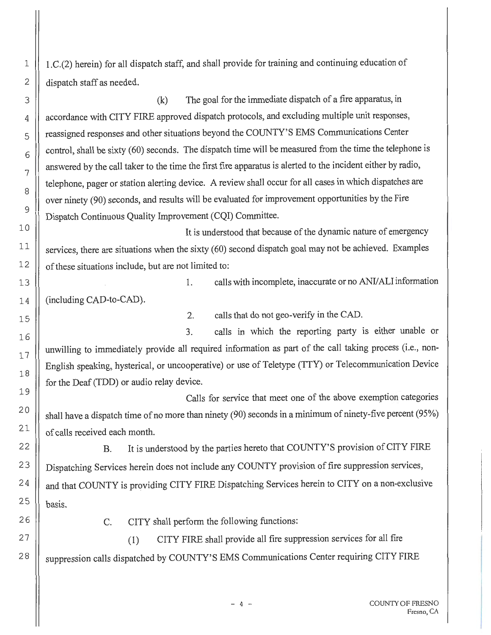1.C.(2) herein) for all dispatch staff, and shall provide for training and continuing education of dispatch staff as needed.

(k) The goal for the immediate dispatch of a fire apparatus, in accordance with CITY FIRE approved dispatch protocols, and excluding multiple unit responses, reassigned responses and other situations beyond the COUNTY'S EMS Communications Center control, shall be sixty (60) seconds. The dispatch time will be measured from the time the telephone is answered by the call taker to the time the first fire apparatus is alerted to the incident either by radio, telephone, pager or station alerting device. A review shall occur for all cases in which dispatches are over ninety (90) seconds, and results will be evaluated for improvement opportunities by the Fire Dispatch Continuous Quality Improvement (CQI) Committee.

It is understood that because of the dynamic nature of emergency services, there are situations when the sixty (60) second dispatch goal may not be achieved. Examples of these situations include, but are not limited to:

1. calls with incomplete, inaccurate or no *ANV* ALI information

(including CAD-to-CAD).

2. calls that do not geo-verify in the CAD.

3. calls in which the reporting party is either unable or unwilling to immediately provide all required information as part of the call taking process (i.e., non-English speaking, hysterical, or uncooperative) or use of Teletype (TTY) or Telecommunication Device for the Deaf (TDD) or audio relay device.

Calls for service that meet one of the above exemption categories shall have a dispatch time of no more than ninety (90) seconds in a minimum of ninety-five percent (95%) of calls received each month.

B. It is understood by the parties hereto that COUNTY'S provision of CITY FIRE Dispatching Services herein does not include any COUNTY provision of fire suppression services, and that COUNTY is providing CITY FIRE Dispatching Services herein to CITY on a non-exclusive basis.

C. CITY shall perform the following functions:

(1) CITY FIRE shall provide all fire suppression services for all fire suppression calls dispatched by COUNTY'S EMS Communications Center requiring CITY FIRE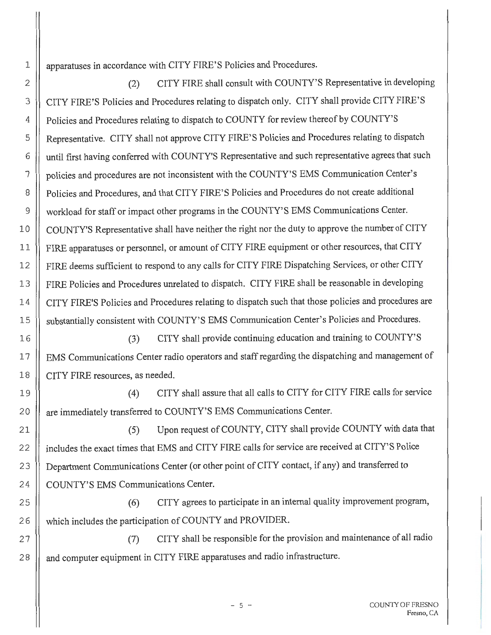apparatuses in accordance with CITY FIRE'S Policies and Procedures.

1

2

16

17

18

19

20

21

22

23

24

25

26

27

28

(2) CITY FIRE shall consult with COUNTY'S Representative in developing 3 | CITY FIRE'S Policies and Procedures relating to dispatch only. CITY shall provide CITY FIRE'S 4 | Policies and Procedures relating to dispatch to COUNTY for review thereof by COUNTY'S 5 | Representative. CITY shall not approve CITY FIRE'S Policies and Procedures relating to dispatch 6 | until first having conferred with COUNTY'S Representative and such representative agrees that such 7 policies and procedures are not inconsistent with the COUNTY'S EMS Communication Center's 8 | Policies and Procedures, and that CITY FIRE'S Policies and Procedures do not create additional 9 | workload for staff or impact other programs in the COUNTY'S EMS Communications Center. 10 | COUNTY'S Representative shall have neither the right nor the duty to approve the number of CITY 11 | FIRE apparatuses or personnel, or amount of CITY FIRE equipment or other resources, that CITY 12 | FIRE deems sufficient to respond to any calls for CITY FIRE Dispatching Services, or other CITY 13 | FIRE Policies and Procedures unrelated to dispatch. CITY FIRE shall be reasonable in developing 14 CITY FIRE'S Policies and Procedures relating to dispatch such that those policies and procedures are 15 | substantially consistent with COUNTY'S EMS Communication Center's Policies and Procedures.

(3) CITY shall provide continuing education and training to COUNTY'S EMS Communications Center radio operators and staff regarding the dispatching and management of CITY FIRE resources, as needed.

(4) CITY shall assure that all calls to CITY for CITY FIRE calls for service are immediately transferred to COUNTY'S EMS Communications Center.

(5) Upon request of COUNTY, CITY shall provide COUNTY with data that includes the exact times that EMS and CITY FIRE calls for service are received at CITY'S Police Department Communications Center (or other point of CITY contact, if any) and transferred to COUNTY'S EMS Communications Center.

(6) CITY agrees to participate in an internal quality improvement program, which includes the participation of COUNTY and PROVIDER.

(7) CITY shall be responsible for the provision and maintenance of all radio and computer equipment in CITY FIRE apparatuses and radio infrastructure.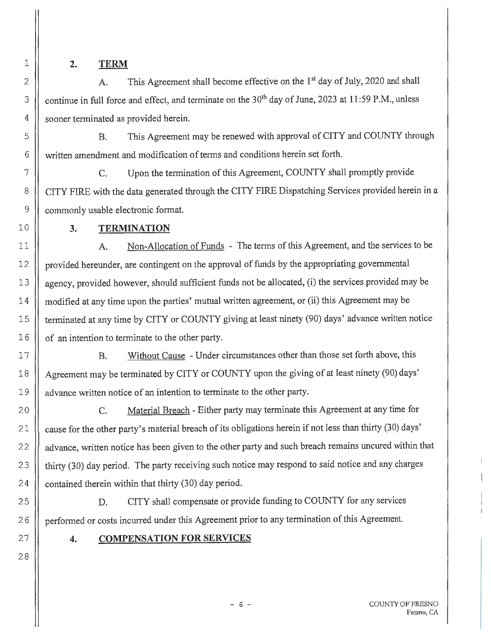**2. TERM** 

A. This Agreement shall become effective on the **1st** day of July, 2020 and shall continue in full force and effect, and terminate on the 30<sup>th</sup> day of June, 2023 at 11:59 P.M., unless sooner terminated as provided herein.

B. This Agreement may be renewed with approval of CITY and COUNTY through written amendment and modification of terms and conditions herein set forth.

C. Upon the termination of this Agreement, COUNTY shall promptly provide CITY FIRE with the data generated through the CITY FIRE Dispatching Services provided herein in a commonly usable electronic format.

# **3. TERMINATION**

A. Non-Allocation of Funds - The terms of this Agreement, and the services to be provided hereunder, are contingent on the approval of funds by the appropriating governmental agency, provided however, should sufficient funds not be allocated, (i) the services provided may be modified at any time upon the parties' mutual written agreement, or (ii) this Agreement may be terminated at any time by CITY or COUNTY giving at least ninety (90) days' advance written notice of an intention to terminate to the other party.

B. Without Cause - Under circumstances other than those set forth above, this Agreement may be terminated by CITY or COUNTY upon the giving of at least ninety (90) days' advance written notice of an intention to terminate to the other party.

C. Material Breach - Either party may terminate this Agreement at any time for 21 | cause for the other party's material breach of its obligations herein if not less than thirty (30) days' 22 | advance, written notice has been given to the other party and such breach remains uncured within that 23 | thirty (30) day period. The party receiving such notice may respond to said notice and any charges 24  $\parallel$  contained therein within that thirty (30) day period.

D. CITY shall compensate or provide funding to COUNTY for any services performed or costs incurred under this Agreement prior to any termination of this Agreement.

# **4. COMPENSATION FOR SERVICES**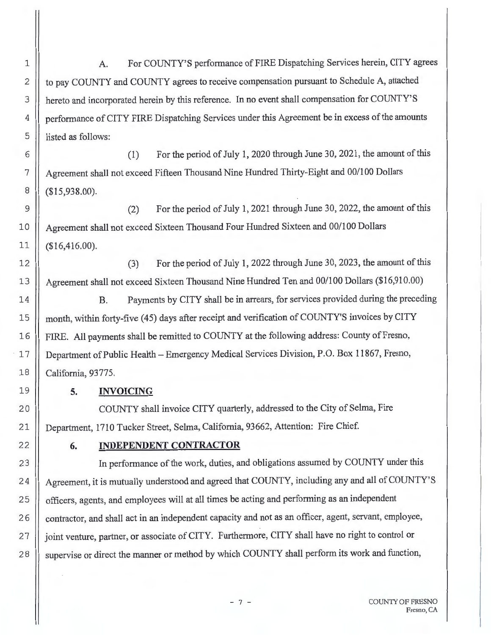A. For COUNTY'S performance of FIRE Dispatching Services herein, CITY agrees to pay COUNTY and COUNTY agrees to receive compensation pursuant to Schedule A, attached hereto and incorporated herein by this reference. In no event shall compensation for COUNTY'S performance of CITY FIRE Dispatching Services under this Agreement be in excess of the amounts listed as follows:

(1) For the period of July 1, 2020 through June 30, 2021, the amount of this Agreement shall not exceed Fifteen Thousand Nine Hundred Thirty-Eight and 00/100 Dollars (\$15,938.00).

(2) For the period of July 1, 2021 through June 30, 2022, the amount of this Agreement shall not exceed Sixteen Thousand Four Hundred Sixteen and 00/100 Dollars  $($16,416.00)$ .

(3) For the period of July 1, 2022 through June 30, 2023, the amount of this Agreement shall not exceed Sixteen Thousand Nine Hundred Ten and 00/100 Dollars (\$16,910.00)

B. Payments by CITY shall be in arrears, for services provided during the preceding month, within forty-five ( 45) days after receipt and verification of COUNTY'S invoices by CITY FIRE. All payments shall be remitted to COUNTY at the following address: County of Fresno, Department of Public Health-Emergency Medical Services Division, P.O. Box 11867, Fresno, California, 93775.

### **5. INVOICING**

COUNTY shall invoice CITY quarterly, addressed to the City of Selma, Fire Department, 1710 Tucker Street, Selma, California, 93 662, Attention: Fire Chief.

1

2

3

4

5

6

7

8

9

10

11

12

13

14

15

16

17

18

19

20

21

22

### 6. **INDEPENDENT CONTRACTOR**

23 | In performance of the work, duties, and obligations assumed by COUNTY under this 24 | Agreement, it is mutually understood and agreed that COUNTY, including any and all of COUNTY'S 25 | officers, agents, and employees will at all times be acting and performing as an independent 26 | contractor, and shall act in an independent capacity and not as an officer, agent, servant, employee, 27 | joint venture, partner, or associate of CITY. Furthermore, CITY shall have no right to control or 28 | supervise or direct the manner or method by which COUNTY shall perform its work and function,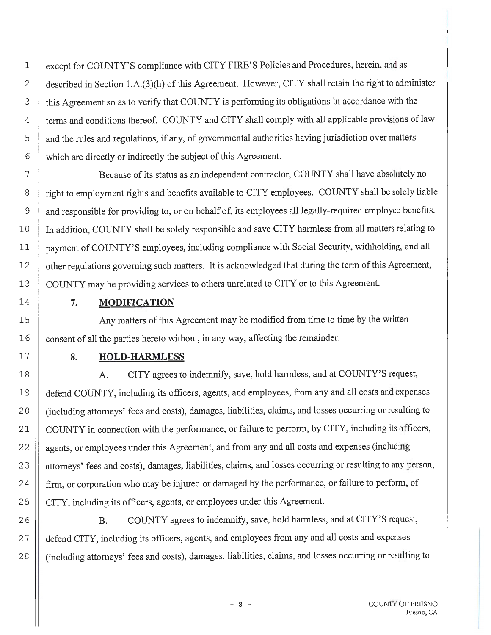1 | except for COUNTY'S compliance with CITY FIRE'S Policies and Procedures, herein, and as 2  $\parallel$  described in Section 1.A.(3)(h) of this Agreement. However, CITY shall retain the right to administer 3 | this Agreement so as to verify that COUNTY is performing its obligations in accordance with the 4 | terms and conditions thereof. COUNTY and CITY shall comply with all applicable provisions of law <sup>5</sup>and the rules and regulations, if any, of governmental authorities having jurisdiction over matters  $6 \parallel$  which are directly or indirectly the subject of this Agreement.

7 | Because of its status as an independent contractor, COUNTY shall have absolutely no 8 | right to employment rights and benefits available to CITY employees. COUNTY shall be solely liable 9 | and responsible for providing to, or on behalf of, its employees all legally-required employee benefits. 10 In addition, COUNTY shall be solely responsible and save CITY harmless from all matters relating to 11 | payment of COUNTY'S employees, including compliance with Social Security, withholding, and all 12 | other regulations governing such matters. It is acknowledged that during the term of this Agreement, 13 | COUNTY may be providing services to others unrelated to CITY or to this Agreement.

#### 7. **MODIFICATION**

14

15

16

17

18

19

20

21

22

23

24

25

26

27

28

Any matters of this Agreement may be modified from time to time by the written consent of all the parties hereto without, in any way, affecting the remainder.

#### **8. HOLD-HARMLESS**

A. CITY agrees to indemnify, save, hold harmless, and at COUNTY'S request, defend COUNTY, including its officers, agents, and employees, from any and all costs and expenses (including attorneys' fees and costs), damages, liabilities, claims, and losses occurring or resulting to COUNTY in connection with the performance, or failure to perform, by CITY, including its officers, agents, or employees under this Agreement, and from any and all costs and expenses (including attorneys' fees and costs), damages, liabilities, claims, and losses occurring or resulting to any person, firm, or corporation who may be injured or damaged by the performance, or failure to perform, of CITY, including its officers, agents, or employees under this Agreement.

B. COUNTY agrees to indemnify, save, hold harmless, and at CITY'S request, defend CITY, including its officers, agents, and employees from any and all costs and expenses (including attorneys' fees and costs), damages, liabilities, claims, and losses occurring or resulting to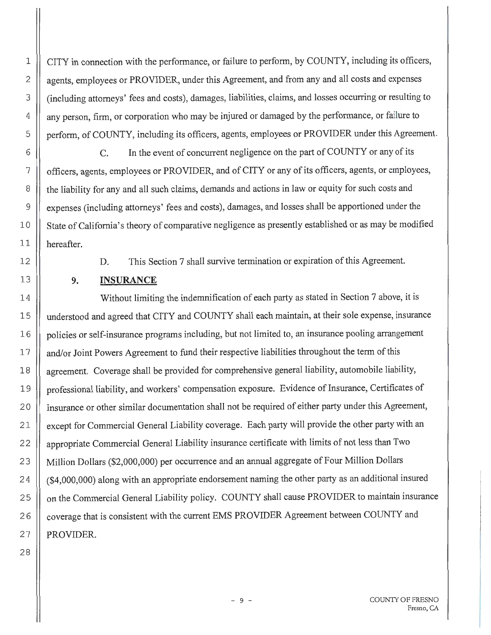CITY in connection with the performance, or failure to perform, by COUNTY, including its officers, agents, employees or PROVIDER, under this Agreement, and from any and all costs and expenses (including attorneys' fees and costs), damages, liabilities, claims, and losses occurring or resulting to any person, firm, or corporation who may be injured or damaged by the performance, or failure to perform, of COUNTY, including its officers, agents, employees or PROVIDER under this Agreement.

C. In the event of concurrent negligence on the part of COUNTY or any of its officers, agents, employees or PROVIDER, and of CITY or any of its officers, agents, or employees, the liability for any and all such claims, demands and actions in law or equity for such costs and expenses (including attorneys' fees and costs), damages, and losses shall be apportioned under the State of California's theory of comparative negligence as presently established or as may be modified hereafter.

D. This Section 7 shall survive termination or expiration of this Agreement.

# **9. INSURANCE**

14 Without limiting the indemnification of each party as stated in Section 7 above, it is 15 understood and agreed that CITY and COUNTY shall each maintain, at their sole expense, insurance 16 | policies or self-insurance programs including, but not limited to, an insurance pooling arrangement 17 | and/or Joint Powers Agreement to fund their respective liabilities throughout the term of this 18 | agreement. Coverage shall be provided for comprehensive general liability, automobile liability, 19 | professional liability, and workers' compensation exposure. Evidence of Insurance, Certificates of 2 0 Insurance or other similar documentation shall not be required of either party under this Agreement, 21 | except for Commercial General Liability coverage. Each party will provide the other party with an 22 | appropriate Commercial General Liability insurance certificate with limits of not less than Two 23 | Million Dollars (\$2,000,000) per occurrence and an annual aggregate of Four Million Dollars 2 4 (\$4,000,000) along with an appropriate endorsement naming the other party as an additional insured 25 | on the Commercial General Liability policy. COUNTY shall cause PROVIDER to maintain insurance 26 | coverage that is consistent with the current EMS PROVIDER Agreement between COUNTY and  $27$  | PROVIDER.

28

1

2

3

4

5

6

7

8

9

10

11

12

13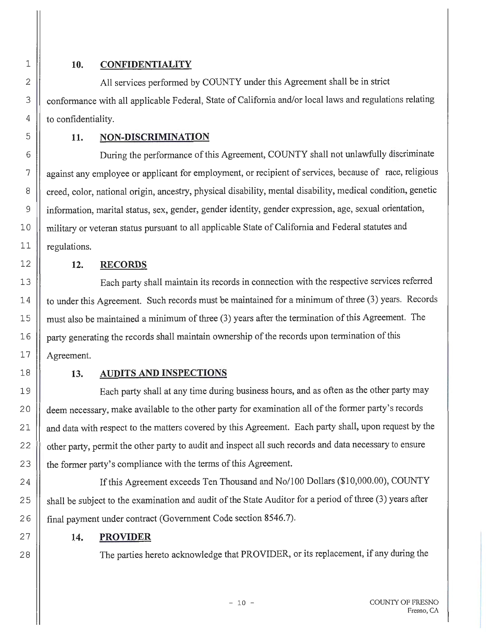28

#### 1 **10. CONFIDENTIALITY**

All services performed by COUNTY under this Agreement shall be in strict conformance with all applicable Federal, State of California and/or local laws and regulations relating to confidentiality.

#### **11. NON-DISCRIMINATION**

6 During the performance of this Agreement, COUNTY shall not unlawfully discriminate 7 || against any employee or applicant for employment, or recipient of services, because of race, religious 8 | creed, color, national origin, ancestry, physical disability, mental disability, medical condition, genetic 9 information, marital status, sex, gender, gender identity, gender expression, age, sexual orientation, 10 | military or veteran status pursuant to all applicable State of California and Federal statutes and 11 || regulations.

### 12 **12. RECORDS**

13 Each party shall maintain its records in connection with the respective services referred 14 | to under this Agreement. Such records must be maintained for a minimum of three (3) years. Records 15 | must also be maintained a minimum of three (3) years after the termination of this Agreement. The 16 | party generating the records shall maintain ownership of the records upon termination of this  $17$  || Agreement.

### 18 **13. AUDITS AND INSPECTIONS**

19 Each party shall at any time during business hours, and as often as the other party may 20 | deem necessary, make available to the other party for examination all of the former party's records 21 | and data with respect to the matters covered by this Agreement. Each party shall, upon request by the 22 | other party, permit the other party to audit and inspect all such records and data necessary to ensure 23 | the former party's compliance with the terms of this Agreement.

24 | If this Agreement exceeds Ten Thousand and No/100 Dollars (\$10,000.00), COUNTY 25 | shall be subject to the examination and audit of the State Auditor for a period of three (3) years after 26 | final payment under contract (Government Code section 8546.7).

### **14. PROVIDER**

The parties hereto acknowledge that PROVIDER, or its replacement, if any during the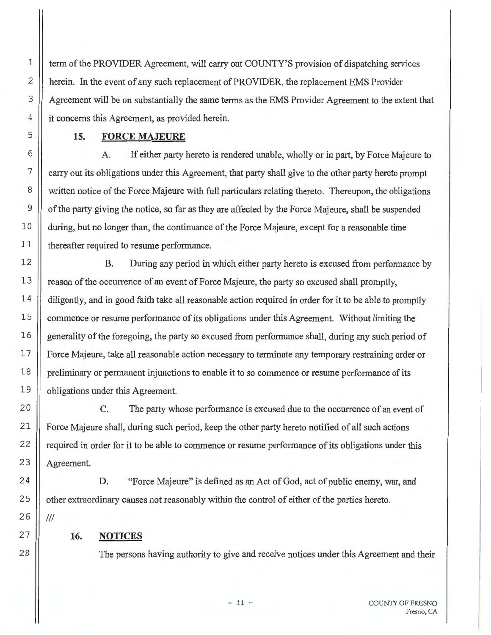term of the PROVIDER Agreement, will carry out COUNTY'S provision of dispatching services herein. In the event of any such replacement of PROVIDER, the replacement EMS Provider Agreement will be on substantially the same terms as the EMS Provider Agreement to the extent that it concerns this Agreement, as provided herein.

#### **15. FORCE MAJEURE**

A. If either party hereto is rendered unable, wholly or in part, by Force Majeure to carry out its obligations under this Agreement, that party shall give to the other party hereto prompt written notice of the Force Majeure with full particulars relating thereto. Thereupon, the obligations of the party giving the notice, so far as they are affected by the Force Majeure, shall be suspended during, but no longer than, the continuance of the Force Majeure, except for a reasonable time thereafter required to resume performance.

B. During any period in which either party hereto is excused from performance by reason of the occurrence of an event of Force Majeure, the party so excused shall promptly, diligently, and in good faith take all reasonable action required in order for it to be able to promptly commence or resume performance of its obligations under this Agreement. Without limiting the generality of the foregoing, the party so excused from performance shall, during any such period of Force Majeure, take all reasonable action necessary to terminate any temporary restraining order or preliminary or permanent injunctions to enable it to so commence or resume performance of its obligations under this Agreement.

C. The party whose performance is excused due to the occurrence of an event of Force Majeure shall, during such period, keep the other party hereto notified of all such actions required in order for it to be able to commence or resume performance of its obligations under this Agreement.

D. "Force Majeure" is defined as an Act of God, act of public enemy, war, and other extraordinary causes not reasonably within the control of either of the parties hereto. Ill

# **16. NOTICES**

28

1

2

3

4

5

6

7

8

9

10

11

12

13

14

15

16

17

18

19

20

21

22

23

24

25

26

27

The persons having authority to give and receive notices under this Agreement and their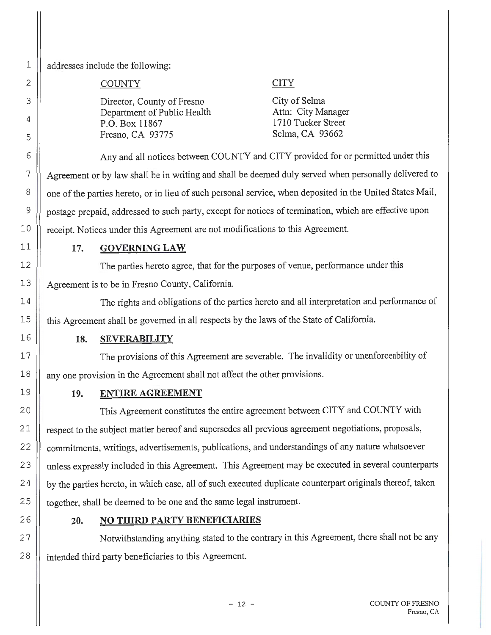28

addresses include the following:

#### COUNTY

#### Director, County of Fresno Department of Public Health P.O. Box 11867 Fresno, CA 93775

#### **CITY**

City of Selma Attn: City Manager 1710 Tucker Street Selma, CA 93662

6 ||<br>Any and all notices between COUNTY and CITY provided for or permitted under this 7 Agreement or by law shall be in writing and shall be deemed duly served when personally delivered to 8 | | one of the parties hereto, or in lieu of such personal service, when deposited in the United States Mail, 9 postage prepaid, addressed to such party, except for notices of termination, which are effective upon 10 | receipt. Notices under this Agreement are not modifications to this Agreement.

# **17. GOVERNING LAW**

The parties hereto agree, that for the purposes of venue, performance under this Agreement is to be in Fresno County, California.

The rights and obligations of the parties hereto and all interpretation and performance of this Agreement shall be governed in all respects by the laws of the State of California.

### **18. SEVERABILITY**

The provisions of this Agreement are severable. The invalidity or unenforceability of any one provision in the Agreement shall not affect the other provisions.

# **19. ENTIRE AGREEMENT**

20 || This Agreement constitutes the entire agreement between CITY and COUNTY with 21 | respect to the subject matter hereof and supersedes all previous agreement negotiations, proposals, 22 | commitments, writings, advertisements, publications, and understandings of any nature whatsoever 23 | unless expressly included in this Agreement. This Agreement may be executed in several counterparts 24 | by the parties hereto, in which case, all of such executed duplicate counterpart originals thereof, taken 25 | together, shall be deemed to be one and the same legal instrument.

### **20. NO THIRD PARTY BENEFICIARIES**

Notwithstanding anything stated to the contrary in this Agreement, there shall not be any intended third party beneficiaries to this Agreement.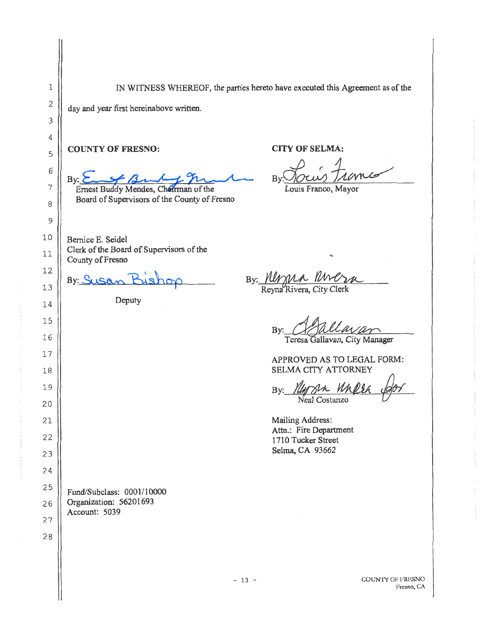1 2 3 4 5 6 7 8 9 10 11 12 13 14 15 16 17 18 19 20 21 22 23 24 25 26 2 7 28 IN WITNESS WHEREOF, the parties hereto have executed this Agreement as of the day and year first hereinabove written. **COUNTY OF FRESNO:**  By: <u>Easy Burky</u> The Board of Supervisors of the County of Fresno Bernice E. Seidel Clerk of the Board of Supervisors of the County of Fresno **CITY OF SELMA:**  *By*: *IOCOM JAU*Y<br>Louis Franco, Mayor **By: ~1:¼sho:-p** By: <u>Mygra Molza</u> Deputy Fund/Subclass: 0001/10000 Organization: 56201693 Account: 5039  $- 13 -$ By: Ofallavan *CRCJURCUV UM* APPROVED AS TO LEGAL FORM: SELMA CITY ATTORNEY SELMA CITY ATTORNEY<br>By: *Ylly SLA WARLER GOT* My sin Malla dor Mailing Address: Attn.: Fire Department 1710 Tucker Street Selma, CA 93662 COUNTY OF FRESNO l'resno, CA